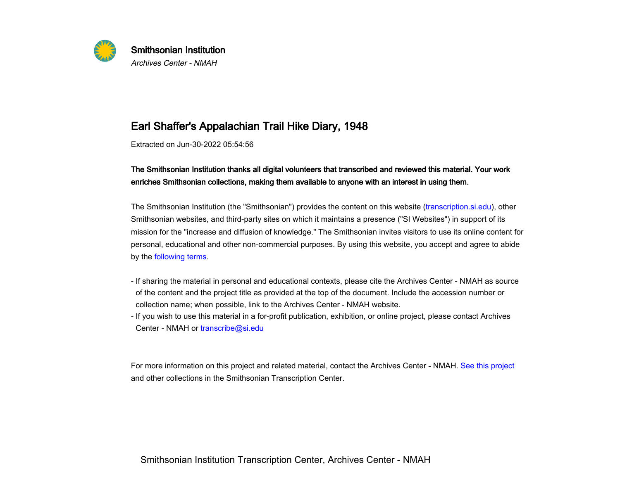

## Earl Shaffer's Appalachian Trail Hike Diary, 1948

Extracted on Jun-30-2022 05:54:56

## The Smithsonian Institution thanks all digital volunteers that transcribed and reviewed this material. Your workenriches Smithsonian collections, making them available to anyone with an interest in using them.

The Smithsonian Institution (the "Smithsonian") provides the content on this website ([transcription.si.edu](https://transcription.si.edu)), otherSmithsonian websites, and third-party sites on which it maintains a presence ("SI Websites") in support of itsmission for the "increase and diffusion of knowledge." The Smithsonian invites visitors to use its online content forpersonal, educational and other non-commercial purposes. By using this website, you accept and agree to abideby the [following terms](https://www.si.edu/termsofuse).

- If sharing the material in personal and educational contexts, please cite the Archives Center NMAH as sourceof the content and the project title as provided at the top of the document. Include the accession number orIn sharing the material in personal and educational contexts, please cite the Archives of the content and the project title as provided at the top of the document. Incollection name; when possible, link to the Archives Cen
- If you wish to use this material in a for-profit publication, exhibition, or online project, please contact ArchivesCenter - NMAH or transcribe@si.edu

 -For more information on this project and related material, contact the Archives Center - NMAH. [See this project](https://transcription.si.edu/project/6734)and other collections in the Smithsonian Transcription Center.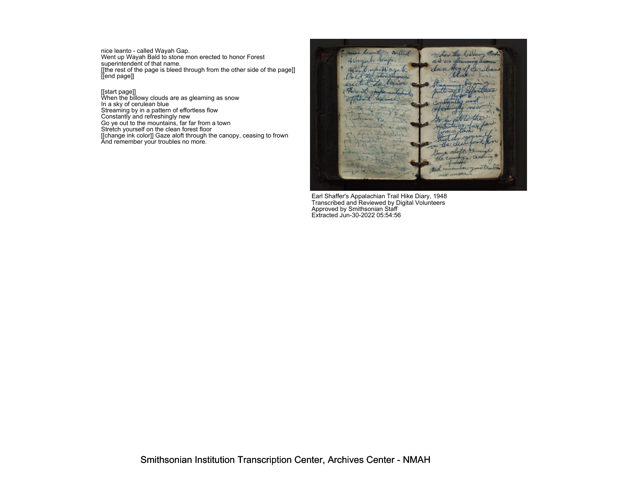nice leanto - called Wayah Gap. Went up Wayah Bald to stone mon erected to honor Forest superintendent of that name.[[the rest of the page is bleed through from the other side of the page]] [[end page]]

[[start page]]<br>When the billowy clouds are as gleaming as snow<br>In a sky of cerulean blue<br>Streaming by in a pattern of effortless flow<br>Constantly and refreshingly new<br>So ye out to the mountains, far far from a town<br>Stretch



Earl Shaffer's Appalachian Trail Hike Diary, 1948 Transcribed and Reviewed by Digital Volunteers Approved by Smithsonian Staff Extracted Jun-30-2022 05:54:56